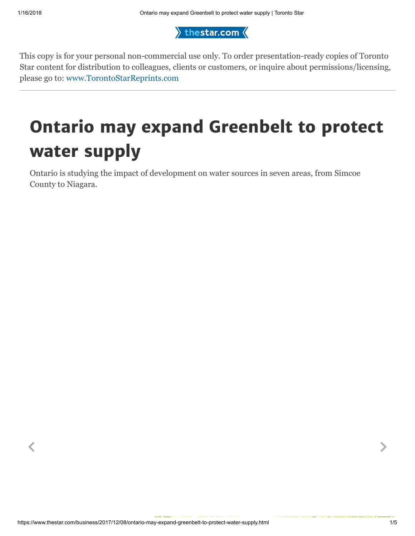$\rangle$  thestar.com  $\langle$ 

This copy is for your personal non-commercial use only. To order presentation-ready copies of Toronto Star content for distribution to colleagues, clients or customers, or inquire about permissions/licensing, please go to: [www.TorontoStarReprints.com](http://www.torontostarreprints.com/)

## Ontario may expand Greenbelt to protect water supply

 $\langle$  , and the contract of the contract of the contract of the contract of the contract of the contract of the contract of the contract of the contract of the contract of the contract of the contract of the contract of th

Ontario is studying the impact of development on water sources in seven areas, from Simcoe County to Niagara.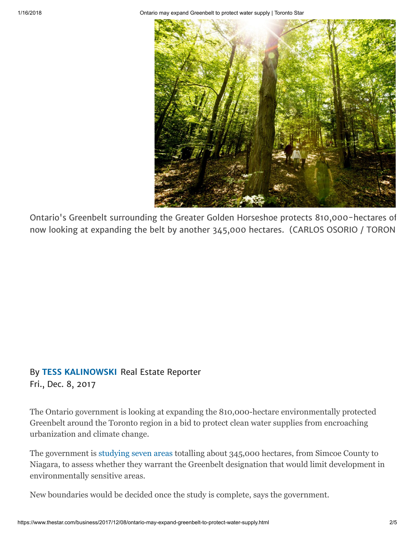1/16/2018 Ontario may expand Greenbelt to protect water supply | Toronto Star



Ontario's Greenbelt surrounding the Greater Golden Horseshoe protects 810,000-hectares of now looking at expanding the belt by another 345,000 hectares. (CARLOS OSORIO / TORON

## By [TESS KALINOWSKI](https://www.thestar.com/authors.kalinowski_tess.html) Real Estate Reporter Fri., Dec. 8, 2017

The Ontario government is looking at expanding the 810,000-hectare environmentally protected Greenbelt around the Toronto region in a bid to protect clean water supplies from encroaching urbanization and climate change.

The government is [studying seven areas](http://www.mah.gov.on.ca/Page17658.aspx) totalling about 345,000 hectares, from Simcoe County to Niagara, to assess whether they warrant the Greenbelt designation that would limit development in environmentally sensitive areas.

New boundaries would be decided once the study is complete, says the government.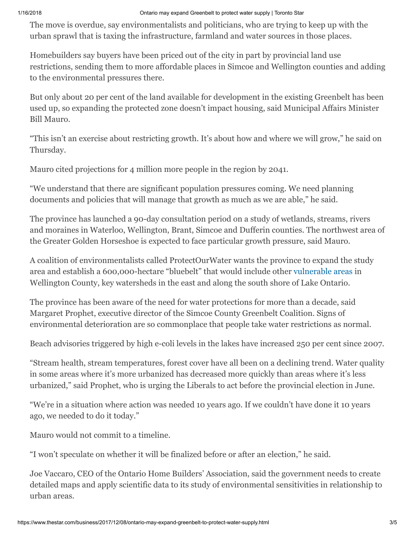## 1/16/2018 Ontario may expand Greenbelt to protect water supply | Toronto Star

The move is overdue, say environmentalists and politicians, who are trying to keep up with the urban sprawl that is taxing the infrastructure, farmland and water sources in those places.

Homebuilders say buyers have been priced out of the city in part by provincial land use restrictions, sending them to more affordable places in Simcoe and Wellington counties and adding to the environmental pressures there.

But only about 20 per cent of the land available for development in the existing Greenbelt has been used up, so expanding the protected zone doesn't impact housing, said Municipal Affairs Minister Bill Mauro.

"This isn't an exercise about restricting growth. It's about how and where we will grow," he said on Thursday.

Mauro cited projections for 4 million more people in the region by 2041.

"We understand that there are significant population pressures coming. We need planning documents and policies that will manage that growth as much as we are able," he said.

The province has launched a 90-day consultation period on a study of wetlands, streams, rivers and moraines in Waterloo, Wellington, Brant, Simcoe and Dufferin counties. The northwest area of the Greater Golden Horseshoe is expected to face particular growth pressure, said Mauro.

A coalition of environmentalists called ProtectOurWater wants the province to expand the study area and establish a 600,000-hectare "bluebelt" that would include other [vulnerable areas](http://greenbeltalliance.ca/sites/default/files/1500_Growing%20Greenbelt_NOV_3.jpg) in Wellington County, key watersheds in the east and along the south shore of Lake Ontario.

The province has been aware of the need for water protections for more than a decade, said Margaret Prophet, executive director of the Simcoe County Greenbelt Coalition. Signs of environmental deterioration are so commonplace that people take water restrictions as normal.

Beach advisories triggered by high e-coli levels in the lakes have increased 250 per cent since 2007.

"Stream health, stream temperatures, forest cover have all been on a declining trend. Water quality in some areas where it's more urbanized has decreased more quickly than areas where it's less urbanized," said Prophet, who is urging the Liberals to act before the provincial election in June.

"We're in a situation where action was needed 10 years ago. If we couldn't have done it 10 years ago, we needed to do it today."

Mauro would not commit to a timeline.

"I won't speculate on whether it will be finalized before or after an election," he said.

Joe Vaccaro, CEO of the Ontario Home Builders' Association, said the government needs to create detailed maps and apply scientific data to its study of environmental sensitivities in relationship to urban areas.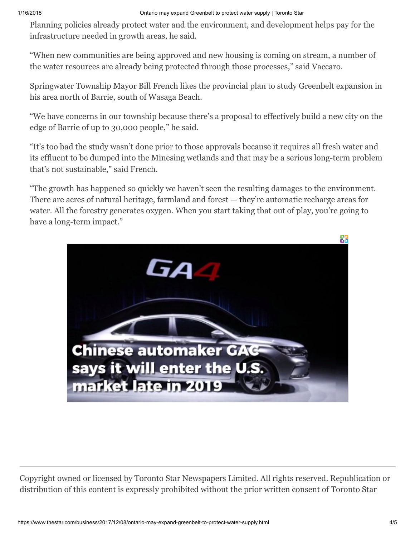Planning policies already protect water and the environment, and development helps pay for the infrastructure needed in growth areas, he said.

"When new communities are being approved and new housing is coming on stream, a number of the water resources are already being protected through those processes," said Vaccaro.

Springwater Township Mayor Bill French likes the provincial plan to study Greenbelt expansion in his area north of Barrie, south of Wasaga Beach.

"We have concerns in our township because there's a proposal to effectively build a new city on the edge of Barrie of up to 30,000 people," he said.

"It's too bad the study wasn't done prior to those approvals because it requires all fresh water and its effluent to be dumped into the Minesing wetlands and that may be a serious long-term problem that's not sustainable," said French.

"The growth has happened so quickly we haven't seen the resulting damages to the environment. There are acres of natural heritage, farmland and forest — they're automatic recharge areas for water. All the forestry generates oxygen. When you start taking that out of play, you're going to have a long-term impact."



Copyright owned or licensed by Toronto Star Newspapers Limited. All rights reserved. Republication or distribution of this content is expressly prohibited without the prior written consent of Toronto Star